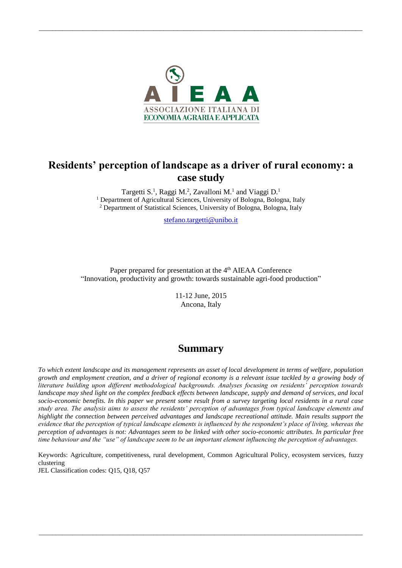

# **Residents' perception of landscape as a driver of rural economy: a case study**

Targetti S.<sup>1</sup>, Raggi M.<sup>2</sup>, Zavalloni M.<sup>1</sup> and Viaggi D.<sup>1</sup> <sup>1</sup> Department of Agricultural Sciences, University of Bologna, Bologna, Italy <sup>2</sup> Department of Statistical Sciences, University of Bologna, Bologna, Italy

[stefano.targetti@unibo.i](mailto:stefano.targetti@unibo.)t

Paper prepared for presentation at the 4<sup>th</sup> AIEAA Conference "Innovation, productivity and growth: towards sustainable agri-food production"

> 11-12 June, 2015 Ancona, Italy

# **Summary**

*To which extent landscape and its management represents an asset of local development in terms of welfare, population growth and employment creation, and a driver of regional economy is a relevant issue tackled by a growing body of literature building upon different methodological backgrounds. Analyses focusing on residents' perception towards landscape may shed light on the complex feedback effects between landscape, supply and demand of services, and local socio-economic benefits. In this paper we present some result from a survey targeting local residents in a rural case study area. The analysis aims to assess the residents' perception of advantages from typical landscape elements and highlight the connection between perceived advantages and landscape recreational attitude. Main results support the evidence that the perception of typical landscape elements is influenced by the respondent's place of living, whereas the perception of advantages is not: Advantages seem to be linked with other socio-economic attributes. In particular free time behaviour and the "use" of landscape seem to be an important element influencing the perception of advantages.*

Keywords: Agriculture, competitiveness, rural development, Common Agricultural Policy, ecosystem services, fuzzy clustering

*\_\_\_\_\_\_\_\_\_\_\_\_\_\_\_\_\_\_\_\_\_\_\_\_\_\_\_\_\_\_\_\_\_\_\_\_\_\_\_\_\_\_\_\_\_\_\_\_\_\_\_\_\_\_\_\_\_\_\_\_\_\_\_\_\_\_\_\_\_\_\_\_\_\_\_\_\_\_\_\_\_\_\_\_\_\_\_\_\_\_\_\_\_\_\_\_*

JEL Classification codes: Q15, Q18, Q57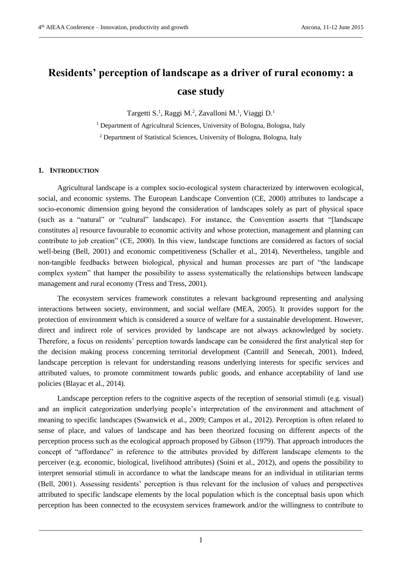# **Residents' perception of landscape as a driver of rural economy: a case study**

*\_\_\_\_\_\_\_\_\_\_\_\_\_\_\_\_\_\_\_\_\_\_\_\_\_\_\_\_\_\_\_\_\_\_\_\_\_\_\_\_\_\_\_\_\_\_\_\_\_\_\_\_\_\_\_\_\_\_\_\_\_\_\_\_\_\_\_\_\_\_\_\_\_\_\_\_\_\_\_\_\_\_\_\_\_\_\_\_\_\_\_\_\_\_\_\_*

Targetti S.<sup>1</sup>, Raggi M.<sup>2</sup>, Zavalloni M.<sup>1</sup>, Viaggi D.<sup>1</sup>

<sup>1</sup> Department of Agricultural Sciences, University of Bologna, Bologna, Italy

<sup>2</sup> Department of Statistical Sciences, University of Bologna, Bologna, Italy

# **1. INTRODUCTION**

Agricultural landscape is a complex socio-ecological system characterized by interwoven ecological, social, and economic systems. The European Landscape Convention (CE, 2000) attributes to landscape a socio-economic dimension going beyond the consideration of landscapes solely as part of physical space (such as a "natural" or "cultural" landscape). For instance, the Convention asserts that "[landscape constitutes a] resource favourable to economic activity and whose protection, management and planning can contribute to job creation" (CE, 2000). In this view, landscape functions are considered as factors of social well-being (Bell, 2001) and economic competitiveness (Schaller et al., 2014). Nevertheless, tangible and non-tangible feedbacks between biological, physical and human processes are part of "the landscape complex system" that hamper the possibility to assess systematically the relationships between landscape management and rural economy (Tress and Tress, 2001).

The ecosystem services framework constitutes a relevant background representing and analysing interactions between society, environment, and social welfare (MEA, 2005). It provides support for the protection of environment which is considered a source of welfare for a sustainable development. However, direct and indirect role of services provided by landscape are not always acknowledged by society. Therefore, a focus on residents' perception towards landscape can be considered the first analytical step for the decision making process concerning territorial development (Cantrill and Senecah, 2001). Indeed, landscape perception is relevant for understanding reasons underlying interests for specific services and attributed values, to promote commitment towards public goods, and enhance acceptability of land use policies (Blayac et al., 2014).

Landscape perception refers to the cognitive aspects of the reception of sensorial stimuli (e.g. visual) and an implicit categorization underlying people's interpretation of the environment and attachment of meaning to specific landscapes (Swanwick et al., 2009; Campos et al., 2012). Perception is often related to sense of place, and values of landscape and has been theorized focusing on different aspects of the perception process such as the ecological approach proposed by Gibson (1979). That approach introduces the concept of "affordance" in reference to the attributes provided by different landscape elements to the perceiver (e.g. economic, biological, livelihood attributes) (Soini et al., 2012), and opens the possibility to interpret sensorial stimuli in accordance to what the landscape means for an individual in utilitarian terms (Bell, 2001). Assessing residents' perception is thus relevant for the inclusion of values and perspectives attributed to specific landscape elements by the local population which is the conceptual basis upon which perception has been connected to the ecosystem services framework and/or the willingness to contribute to

*\_\_\_\_\_\_\_\_\_\_\_\_\_\_\_\_\_\_\_\_\_\_\_\_\_\_\_\_\_\_\_\_\_\_\_\_\_\_\_\_\_\_\_\_\_\_\_\_\_\_\_\_\_\_\_\_\_\_\_\_\_\_\_\_\_\_\_\_\_\_\_\_\_\_\_\_\_\_\_\_\_\_\_\_\_\_\_\_\_\_\_\_\_\_\_\_* 1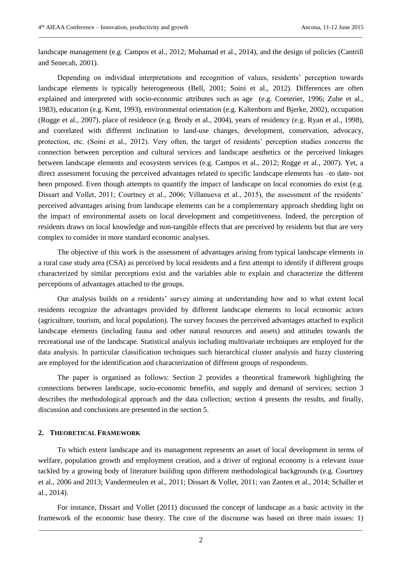landscape management (e.g. Campos et al., 2012; Muhamad et al., 2014), and the design of policies (Cantrill and Senecah, 2001).

*\_\_\_\_\_\_\_\_\_\_\_\_\_\_\_\_\_\_\_\_\_\_\_\_\_\_\_\_\_\_\_\_\_\_\_\_\_\_\_\_\_\_\_\_\_\_\_\_\_\_\_\_\_\_\_\_\_\_\_\_\_\_\_\_\_\_\_\_\_\_\_\_\_\_\_\_\_\_\_\_\_\_\_\_\_\_\_\_\_\_\_\_\_\_\_\_*

Depending on individual interpretations and recognition of values, residents' perception towards landscape elements is typically heterogeneous (Bell, 2001; Soini et al., 2012). Differences are often explained and interpreted with socio-economic attributes such as age (e.g. Coeterier, 1996; Zube et al., 1983), education (e.g. Kent, 1993), environmental orientation (e.g. Kaltenborn and Bjerke, 2002), occupation (Rogge et al., 2007), place of residence (e.g. Brody et al., 2004), years of residency (e.g. Ryan et al., 1998), and correlated with different inclination to land-use changes, development, conservation, advocacy, protection, etc. (Soini et al., 2012). Very often, the target of residents' perception studies concerns the connection between perception and cultural services and landscape aesthetics or the perceived linkages between landscape elements and ecosystem services (e.g. Campos et al., 2012; Rogge et al., 2007). Yet, a direct assessment focusing the perceived advantages related to specific landscape elements has –to date- not been proposed. Even though attempts to quantify the impact of landscape on local economies do exist (e.g. Dissart and Vollet, 2011; Courtney et al., 2006; Villanueva et al., 2015), the assessment of the residents' perceived advantages arising from landscape elements can be a complementary approach shedding light on the impact of environmental assets on local development and competitiveness. Indeed, the perception of residents draws on local knowledge and non-tangible effects that are perceived by residents but that are very complex to consider in more standard economic analyses.

The objective of this work is the assessment of advantages arising from typical landscape elements in a rural case study area (CSA) as perceived by local residents and a first attempt to identify if different groups characterized by similar perceptions exist and the variables able to explain and characterize the different perceptions of advantages attached to the groups.

Our analysis builds on a residents' survey aiming at understanding how and to what extent local residents recognize the advantages provided by different landscape elements to local economic actors (agriculture, tourism, and local population). The survey focuses the perceived advantages attached to explicit landscape elements (including fauna and other natural resources and assets) and attitudes towards the recreational use of the landscape. Statistical analysis including multivariate techniques are employed for the data analysis. In particular classification techniques such hierarchical cluster analysis and fuzzy clustering are employed for the identification and characterization of different groups of respondents.

The paper is organised as follows: Section 2 provides a theoretical framework highlighting the connections between landscape, socio-economic benefits, and supply and demand of services; section 3 describes the methodological approach and the data collection; section 4 presents the results, and finally, discussion and conclusions are presented in the section 5.

# **2. THEORETICAL FRAMEWORK**

To which extent landscape and its management represents an asset of local development in terms of welfare, population growth and employment creation, and a driver of regional economy is a relevant issue tackled by a growing body of literature building upon different methodological backgrounds (e.g. Courtney et al., 2006 and 2013; Vandermeulen et al., 2011; Dissart & Vollet, 2011; van Zanten et al., 2014; Schaller et al., 2014).

For instance, Dissart and Vollet (2011) discussed the concept of landscape as a basic activity in the framework of the economic base theory. The core of the discourse was based on three main issues: 1)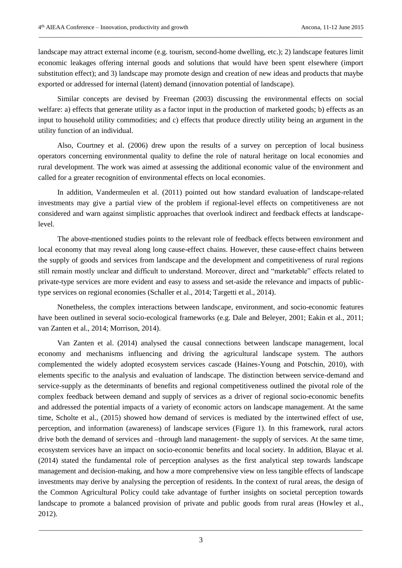landscape may attract external income (e.g. tourism, second-home dwelling, etc.); 2) landscape features limit economic leakages offering internal goods and solutions that would have been spent elsewhere (import substitution effect); and 3) landscape may promote design and creation of new ideas and products that maybe exported or addressed for internal (latent) demand (innovation potential of landscape).

*\_\_\_\_\_\_\_\_\_\_\_\_\_\_\_\_\_\_\_\_\_\_\_\_\_\_\_\_\_\_\_\_\_\_\_\_\_\_\_\_\_\_\_\_\_\_\_\_\_\_\_\_\_\_\_\_\_\_\_\_\_\_\_\_\_\_\_\_\_\_\_\_\_\_\_\_\_\_\_\_\_\_\_\_\_\_\_\_\_\_\_\_\_\_\_\_*

Similar concepts are devised by Freeman (2003) discussing the environmental effects on social welfare: a) effects that generate utility as a factor input in the production of marketed goods; b) effects as an input to household utility commodities; and c) effects that produce directly utility being an argument in the utility function of an individual.

Also, Courtney et al. (2006) drew upon the results of a survey on perception of local business operators concerning environmental quality to define the role of natural heritage on local economies and rural development. The work was aimed at assessing the additional economic value of the environment and called for a greater recognition of environmental effects on local economies.

In addition, Vandermeulen et al. (2011) pointed out how standard evaluation of landscape-related investments may give a partial view of the problem if regional-level effects on competitiveness are not considered and warn against simplistic approaches that overlook indirect and feedback effects at landscapelevel.

The above-mentioned studies points to the relevant role of feedback effects between environment and local economy that may reveal along long cause-effect chains. However, these cause-effect chains between the supply of goods and services from landscape and the development and competitiveness of rural regions still remain mostly unclear and difficult to understand. Moreover, direct and "marketable" effects related to private-type services are more evident and easy to assess and set-aside the relevance and impacts of publictype services on regional economies (Schaller et al., 2014; Targetti et al., 2014).

Nonetheless, the complex interactions between landscape, environment, and socio-economic features have been outlined in several socio-ecological frameworks (e.g. Dale and Beleyer, 2001; Eakin et al., 2011; van Zanten et al., 2014; Morrison, 2014).

Van Zanten et al. (2014) analysed the causal connections between landscape management, local economy and mechanisms influencing and driving the agricultural landscape system. The authors complemented the widely adopted ecosystem services cascade (Haines-Young and Potschin, 2010), with elements specific to the analysis and evaluation of landscape. The distinction between service-demand and service-supply as the determinants of benefits and regional competitiveness outlined the pivotal role of the complex feedback between demand and supply of services as a driver of regional socio-economic benefits and addressed the potential impacts of a variety of economic actors on landscape management. At the same time, Scholte et al., (2015) showed how demand of services is mediated by the intertwined effect of use, perception, and information (awareness) of landscape services (Figure 1). In this framework, rural actors drive both the demand of services and –through land management- the supply of services. At the same time, ecosystem services have an impact on socio-economic benefits and local society. In addition, Blayac et al. (2014) stated the fundamental role of perception analyses as the first analytical step towards landscape management and decision-making, and how a more comprehensive view on less tangible effects of landscape investments may derive by analysing the perception of residents. In the context of rural areas, the design of the Common Agricultural Policy could take advantage of further insights on societal perception towards landscape to promote a balanced provision of private and public goods from rural areas (Howley et al., 2012).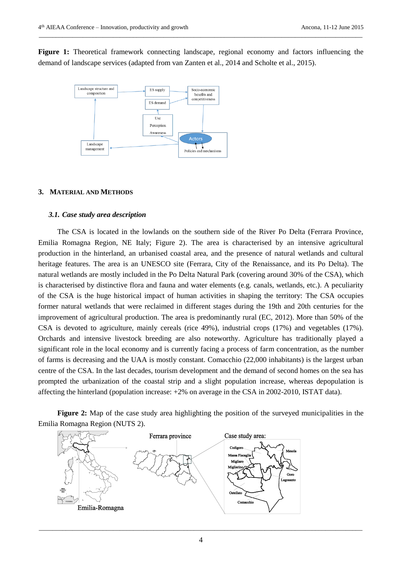Figure 1: Theoretical framework connecting landscape, regional economy and factors influencing the demand of landscape services (adapted from van Zanten et al., 2014 and Scholte et al., 2015).

*\_\_\_\_\_\_\_\_\_\_\_\_\_\_\_\_\_\_\_\_\_\_\_\_\_\_\_\_\_\_\_\_\_\_\_\_\_\_\_\_\_\_\_\_\_\_\_\_\_\_\_\_\_\_\_\_\_\_\_\_\_\_\_\_\_\_\_\_\_\_\_\_\_\_\_\_\_\_\_\_\_\_\_\_\_\_\_\_\_\_\_\_\_\_\_\_*



# **3. MATERIAL AND METHODS**

## *3.1. Case study area description*

The CSA is located in the lowlands on the southern side of the River Po Delta (Ferrara Province, Emilia Romagna Region, NE Italy; Figure 2). The area is characterised by an intensive agricultural production in the hinterland, an urbanised coastal area, and the presence of natural wetlands and cultural heritage features. The area is an UNESCO site (Ferrara, City of the Renaissance, and its Po Delta). The natural wetlands are mostly included in the Po Delta Natural Park (covering around 30% of the CSA), which is characterised by distinctive flora and fauna and water elements (e.g. canals, wetlands, etc.). A peculiarity of the CSA is the huge historical impact of human activities in shaping the territory: The CSA occupies former natural wetlands that were reclaimed in different stages during the 19th and 20th centuries for the improvement of agricultural production. The area is predominantly rural (EC, 2012). More than 50% of the CSA is devoted to agriculture, mainly cereals (rice 49%), industrial crops (17%) and vegetables (17%). Orchards and intensive livestock breeding are also noteworthy. Agriculture has traditionally played a significant role in the local economy and is currently facing a process of farm concentration, as the number of farms is decreasing and the UAA is mostly constant. Comacchio (22,000 inhabitants) is the largest urban centre of the CSA. In the last decades, tourism development and the demand of second homes on the sea has prompted the urbanization of the coastal strip and a slight population increase, whereas depopulation is affecting the hinterland (population increase: +2% on average in the CSA in 2002-2010, ISTAT data).

**Figure 2:** Map of the case study area highlighting the position of the surveyed municipalities in the Emilia Romagna Region (NUTS 2).

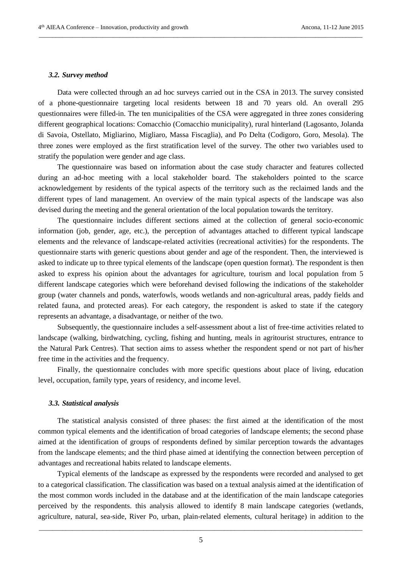#### *3.2. Survey method*

Data were collected through an ad hoc surveys carried out in the CSA in 2013. The survey consisted of a phone-questionnaire targeting local residents between 18 and 70 years old. An overall 295 questionnaires were filled-in. The ten municipalities of the CSA were aggregated in three zones considering different geographical locations: Comacchio (Comacchio municipality), rural hinterland (Lagosanto, Jolanda di Savoia, Ostellato, Migliarino, Migliaro, Massa Fiscaglia), and Po Delta (Codigoro, Goro, Mesola). The three zones were employed as the first stratification level of the survey. The other two variables used to stratify the population were gender and age class.

*\_\_\_\_\_\_\_\_\_\_\_\_\_\_\_\_\_\_\_\_\_\_\_\_\_\_\_\_\_\_\_\_\_\_\_\_\_\_\_\_\_\_\_\_\_\_\_\_\_\_\_\_\_\_\_\_\_\_\_\_\_\_\_\_\_\_\_\_\_\_\_\_\_\_\_\_\_\_\_\_\_\_\_\_\_\_\_\_\_\_\_\_\_\_\_\_*

The questionnaire was based on information about the case study character and features collected during an ad-hoc meeting with a local stakeholder board. The stakeholders pointed to the scarce acknowledgement by residents of the typical aspects of the territory such as the reclaimed lands and the different types of land management. An overview of the main typical aspects of the landscape was also devised during the meeting and the general orientation of the local population towards the territory.

The questionnaire includes different sections aimed at the collection of general socio-economic information (job, gender, age, etc.), the perception of advantages attached to different typical landscape elements and the relevance of landscape-related activities (recreational activities) for the respondents. The questionnaire starts with generic questions about gender and age of the respondent. Then, the interviewed is asked to indicate up to three typical elements of the landscape (open question format). The respondent is then asked to express his opinion about the advantages for agriculture, tourism and local population from 5 different landscape categories which were beforehand devised following the indications of the stakeholder group (water channels and ponds, waterfowls, woods wetlands and non-agricultural areas, paddy fields and related fauna, and protected areas). For each category, the respondent is asked to state if the category represents an advantage, a disadvantage, or neither of the two.

Subsequently, the questionnaire includes a self-assessment about a list of free-time activities related to landscape (walking, birdwatching, cycling, fishing and hunting, meals in agritourist structures, entrance to the Natural Park Centres). That section aims to assess whether the respondent spend or not part of his/her free time in the activities and the frequency.

Finally, the questionnaire concludes with more specific questions about place of living, education level, occupation, family type, years of residency, and income level.

## *3.3. Statistical analysis*

The statistical analysis consisted of three phases: the first aimed at the identification of the most common typical elements and the identification of broad categories of landscape elements; the second phase aimed at the identification of groups of respondents defined by similar perception towards the advantages from the landscape elements; and the third phase aimed at identifying the connection between perception of advantages and recreational habits related to landscape elements.

Typical elements of the landscape as expressed by the respondents were recorded and analysed to get to a categorical classification. The classification was based on a textual analysis aimed at the identification of the most common words included in the database and at the identification of the main landscape categories perceived by the respondents. this analysis allowed to identify 8 main landscape categories (wetlands, agriculture, natural, sea-side, River Po, urban, plain-related elements, cultural heritage) in addition to the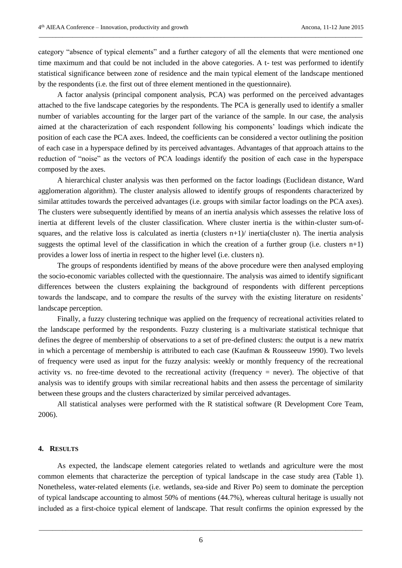category "absence of typical elements" and a further category of all the elements that were mentioned one time maximum and that could be not included in the above categories. A t- test was performed to identify statistical significance between zone of residence and the main typical element of the landscape mentioned by the respondents (i.e. the first out of three element mentioned in the questionnaire).

*\_\_\_\_\_\_\_\_\_\_\_\_\_\_\_\_\_\_\_\_\_\_\_\_\_\_\_\_\_\_\_\_\_\_\_\_\_\_\_\_\_\_\_\_\_\_\_\_\_\_\_\_\_\_\_\_\_\_\_\_\_\_\_\_\_\_\_\_\_\_\_\_\_\_\_\_\_\_\_\_\_\_\_\_\_\_\_\_\_\_\_\_\_\_\_\_*

A factor analysis (principal component analysis, PCA) was performed on the perceived advantages attached to the five landscape categories by the respondents. The PCA is generally used to identify a smaller number of variables accounting for the larger part of the variance of the sample. In our case, the analysis aimed at the characterization of each respondent following his components' loadings which indicate the position of each case the PCA axes. Indeed, the coefficients can be considered a vector outlining the position of each case in a hyperspace defined by its perceived advantages. Advantages of that approach attains to the reduction of "noise" as the vectors of PCA loadings identify the position of each case in the hyperspace composed by the axes.

A hierarchical cluster analysis was then performed on the factor loadings (Euclidean distance, Ward agglomeration algorithm). The cluster analysis allowed to identify groups of respondents characterized by similar attitudes towards the perceived advantages (i.e. groups with similar factor loadings on the PCA axes). The clusters were subsequently identified by means of an inertia analysis which assesses the relative loss of inertia at different levels of the cluster classification. Where cluster inertia is the within-cluster sum-ofsquares, and the relative loss is calculated as inertia (clusters  $n+1$ ) inertia(cluster n). The inertia analysis suggests the optimal level of the classification in which the creation of a further group (i.e. clusters  $n+1$ ) provides a lower loss of inertia in respect to the higher level (i.e. clusters n).

The groups of respondents identified by means of the above procedure were then analysed employing the socio-economic variables collected with the questionnaire. The analysis was aimed to identify significant differences between the clusters explaining the background of respondents with different perceptions towards the landscape, and to compare the results of the survey with the existing literature on residents' landscape perception.

Finally, a fuzzy clustering technique was applied on the frequency of recreational activities related to the landscape performed by the respondents. Fuzzy clustering is a multivariate statistical technique that defines the degree of membership of observations to a set of pre-defined clusters: the output is a new matrix in which a percentage of membership is attributed to each case (Kaufman & Rousseeuw 1990). Two levels of frequency were used as input for the fuzzy analysis: weekly or monthly frequency of the recreational activity vs. no free-time devoted to the recreational activity (frequency = never). The objective of that analysis was to identify groups with similar recreational habits and then assess the percentage of similarity between these groups and the clusters characterized by similar perceived advantages.

All statistical analyses were performed with the R statistical software (R Development Core Team, 2006).

# **4. RESULTS**

As expected, the landscape element categories related to wetlands and agriculture were the most common elements that characterize the perception of typical landscape in the case study area (Table 1). Nonetheless, water-related elements (i.e. wetlands, sea-side and River Po) seem to dominate the perception of typical landscape accounting to almost 50% of mentions (44.7%), whereas cultural heritage is usually not included as a first-choice typical element of landscape. That result confirms the opinion expressed by the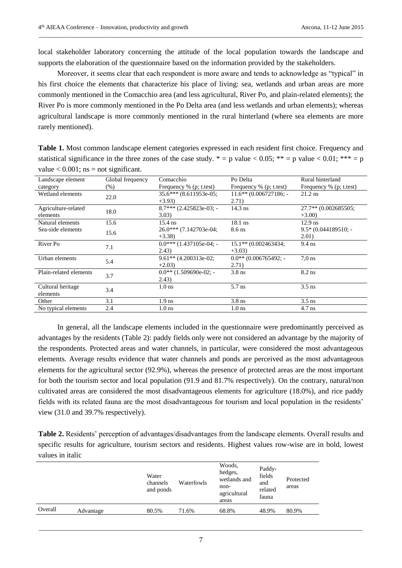local stakeholder laboratory concerning the attitude of the local population towards the landscape and supports the elaboration of the questionnaire based on the information provided by the stakeholders.

*\_\_\_\_\_\_\_\_\_\_\_\_\_\_\_\_\_\_\_\_\_\_\_\_\_\_\_\_\_\_\_\_\_\_\_\_\_\_\_\_\_\_\_\_\_\_\_\_\_\_\_\_\_\_\_\_\_\_\_\_\_\_\_\_\_\_\_\_\_\_\_\_\_\_\_\_\_\_\_\_\_\_\_\_\_\_\_\_\_\_\_\_\_\_\_\_*

Moreover, it seems clear that each respondent is more aware and tends to acknowledge as "typical" in his first choice the elements that characterize his place of living: sea, wetlands and urban areas are more commonly mentioned in the Comacchio area (and less agricultural, River Po, and plain-related elements); the River Po is more commonly mentioned in the Po Delta area (and less wetlands and urban elements); whereas agricultural landscape is more commonly mentioned in the rural hinterland (where sea elements are more rarely mentioned).

**Table 1.** Most common landscape element categories expressed in each resident first choice. Frequency and statistical significance in the three zones of the case study.  $* = p$  value < 0.05;  $** = p$  value < 0.01; \*\*\* = p value  $< 0.001$ ; ns = not significant.

| Landscape element      | Global frequency | Comacchio                 | Po Delta                 | Rural hinterland        |
|------------------------|------------------|---------------------------|--------------------------|-------------------------|
| category               | (% )             | Frequency $%$ (p; t.test) | Frequency % (p; t.test)  | Frequency % (p; t.test) |
| Wetland elements       | 22.0             | 35.6*** (8.611953e-05;    | $11.6**$ (0.006727186; - | $21.2$ ns               |
|                        |                  | $+3.93$                   | 2.71)                    |                         |
| Agriculture-related    | 18.0             | $8.7***$ (2.425823e-03; - | $14.3$ ns                | 27.7** (0.002685505;    |
| elements               |                  | 3.03)                     |                          | $+3.00$                 |
| Natural elements       | 15.6             | $15.4$ ns                 | $18.1$ ns                | $12.9$ ns               |
| Sea-side elements      | 15.6             | $26.0***$ (7.142703e-04;  | $8.6$ ns                 | $9.5*(0.044189510:-$    |
|                        |                  | $+3.38$                   |                          | 2.01)                   |
| River Po               | 7.1              | $0.0***(1.437105e-04; -$  | 15.1** (0.002463434;     | $9.4$ ns                |
|                        |                  | (2.43)                    | $+3.03$                  |                         |
| Urban elements         | 5.4              | $9.61**$ (4.200313e-02;   | $0.0**$ (0.006765492; -  | $7.0$ ns                |
|                        |                  | $+2.03$                   | 2.71)                    |                         |
| Plain-related elements | 3.7              | $0.0**$ (1.509690e-02; -  | $3.8$ ns                 | $8.2$ ns                |
|                        |                  | (2.43)                    |                          |                         |
| Cultural heritage      | 3.4              | 1.0 <sub>ns</sub>         | $5.7$ ns                 | $3.5$ ns                |
| elements               |                  |                           |                          |                         |
| Other                  | 3.1              | 1.9 <sub>ns</sub>         | $3.8$ ns                 | $3.5$ ns                |
| No typical elements    | 2.4              | 1.0 <sub>ns</sub>         | 1.0 <sub>ns</sub>        | $4.7$ ns                |

In general, all the landscape elements included in the questionnaire were predominantly perceived as advantages by the residents (Table 2): paddy fields only were not considered an advantage by the majority of the respondents. Protected areas and water channels, in particular, were considered the most advantageous elements. Average results evidence that water channels and ponds are perceived as the most advantageous elements for the agricultural sector (92.9%), whereas the presence of protected areas are the most important for both the tourism sector and local population (91.9 and 81.7% respectively). On the contrary, natural/non cultivated areas are considered the most disadvantageous elements for agriculture (18.0%), and rice paddy fields with its related fauna are the most disadvantageous for tourism and local population in the residents' view (31.0 and 39.7% respectively).

**Table 2.** Residents' perception of advantages/disadvantages from the landscape elements. Overall results and specific results for agriculture, tourism sectors and residents. Highest values row-wise are in bold, lowest values in italic

|         |           | Water<br>channels<br>and ponds | Waterfowls | Woods.<br>hedges,<br>wetlands and<br>non-<br>agricultural<br>areas | Paddy-<br>fields<br>and<br>related<br>fauna | Protected<br>areas |
|---------|-----------|--------------------------------|------------|--------------------------------------------------------------------|---------------------------------------------|--------------------|
| Overall | Advantage | 80.5%                          | 71.6%      | 68.8%                                                              | 48.9%                                       | 80.9%              |
|         |           |                                |            |                                                                    |                                             |                    |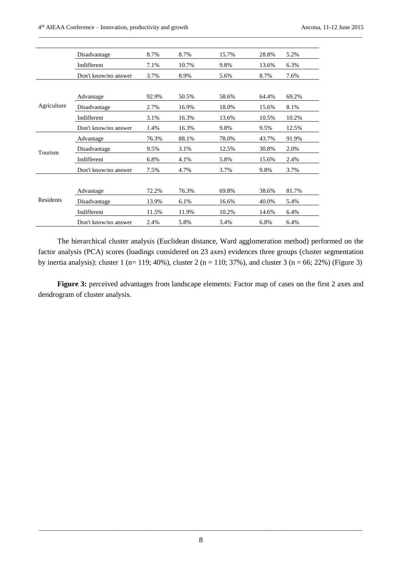|             | Disadvantage         | 8.7%  | 8.7%  | 15.7% | 28.8% | 5.2%  |
|-------------|----------------------|-------|-------|-------|-------|-------|
|             | Indifferent          | 7.1%  | 10.7% | 9.8%  | 13.6% | 6.3%  |
|             | Don't know/no answer | 3.7%  | 8.9%  | 5.6%  | 8.7%  | 7.6%  |
|             |                      |       |       |       |       |       |
|             | Advantage            | 92.9% | 50.5% | 58.6% | 64.4% | 69.2% |
| Agriculture | Disadvantage         | 2.7%  | 16.9% | 18.0% | 15.6% | 8.1%  |
|             | Indifferent          | 3.1%  | 16.3% | 13.6% | 10.5% | 10.2% |
|             | Don't know/no answer | 1.4%  | 16.3% | 9.8%  | 9.5%  | 12.5% |
|             | Advantage            | 76.3% | 88.1% | 78.0% | 43.7% | 91.9% |
| Tourism     | Disadvantage         | 9.5%  | 3.1%  | 12.5% | 30.8% | 2.0%  |
|             | Indifferent          | 6.8%  | 4.1%  | 5.8%  | 15.6% | 2.4%  |
|             | Don't know/no answer | 7.5%  | 4.7%  | 3.7%  | 9.8%  | 3.7%  |
|             |                      |       |       |       |       |       |
|             | Advantage            | 72.2% | 76.3% | 69.8% | 38.6% | 81.7% |
| Residents   | Disadvantage         | 13.9% | 6.1%  | 16.6% | 40.0% | 5.4%  |
|             | Indifferent          | 11.5% | 11.9% | 10.2% | 14.6% | 6.4%  |
|             | Don't know/no answer | 2.4%  | 5.8%  | 3.4%  | 6.8%  | 6.4%  |

The hierarchical cluster analysis (Euclidean distance, Ward agglomeration method) performed on the factor analysis (PCA) scores (loadings considered on 23 axes) evidences three groups (cluster segmentation by inertia analysis): cluster 1 (n= 119; 40%), cluster 2 (n = 110; 37%), and cluster 3 (n = 66; 22%) (Figure 3)

**Figure 3:** perceived advantages from landscape elements: Factor map of cases on the first 2 axes and dendrogram of cluster analysis.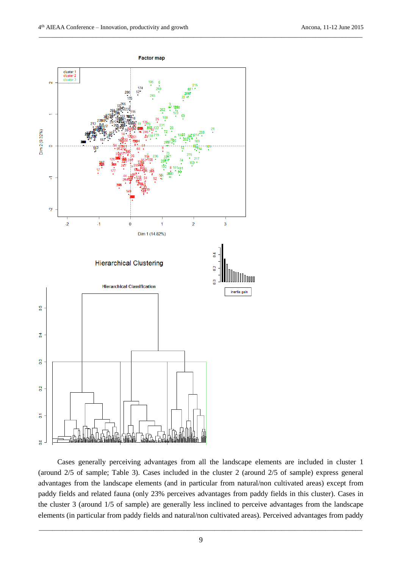

Cases generally perceiving advantages from all the landscape elements are included in cluster 1 (around 2/5 of sample; Table 3). Cases included in the cluster 2 (around 2/5 of sample) express general advantages from the landscape elements (and in particular from natural/non cultivated areas) except from paddy fields and related fauna (only 23% perceives advantages from paddy fields in this cluster). Cases in the cluster 3 (around 1/5 of sample) are generally less inclined to perceive advantages from the landscape elements (in particular from paddy fields and natural/non cultivated areas). Perceived advantages from paddy

*\_\_\_\_\_\_\_\_\_\_\_\_\_\_\_\_\_\_\_\_\_\_\_\_\_\_\_\_\_\_\_\_\_\_\_\_\_\_\_\_\_\_\_\_\_\_\_\_\_\_\_\_\_\_\_\_\_\_\_\_\_\_\_\_\_\_\_\_\_\_\_\_\_\_\_\_\_\_\_\_\_\_\_\_\_\_\_\_\_\_\_\_\_\_\_\_* 9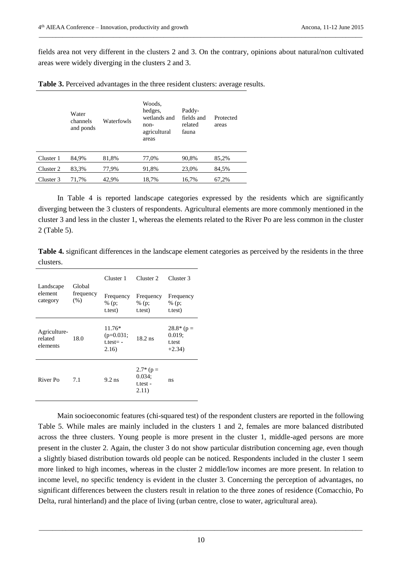fields area not very different in the clusters 2 and 3. On the contrary, opinions about natural/non cultivated areas were widely diverging in the clusters 2 and 3.

*\_\_\_\_\_\_\_\_\_\_\_\_\_\_\_\_\_\_\_\_\_\_\_\_\_\_\_\_\_\_\_\_\_\_\_\_\_\_\_\_\_\_\_\_\_\_\_\_\_\_\_\_\_\_\_\_\_\_\_\_\_\_\_\_\_\_\_\_\_\_\_\_\_\_\_\_\_\_\_\_\_\_\_\_\_\_\_\_\_\_\_\_\_\_\_\_*

|  | Table 3. Perceived advantages in the three resident clusters: average results. |  |  |  |
|--|--------------------------------------------------------------------------------|--|--|--|
|  |                                                                                |  |  |  |

|           | Water<br>channels<br>and ponds | Waterfowls | Woods.<br>hedges,<br>wetlands and<br>non-<br>agricultural<br>areas | Paddy-<br>fields and<br>related<br>fauna | Protected<br>areas |
|-----------|--------------------------------|------------|--------------------------------------------------------------------|------------------------------------------|--------------------|
| Cluster 1 | 84.9%                          | 81,8%      | 77,0%                                                              | 90,8%                                    | 85,2%              |
| Cluster 2 | 83,3%                          | 77,9%      | 91,8%                                                              | 23,0%                                    | 84,5%              |
| Cluster 3 | 71,7%                          | 42,9%      | 18,7%                                                              | 16,7%                                    | 67,2%              |

In Table 4 is reported landscape categories expressed by the residents which are significantly diverging between the 3 clusters of respondents. Agricultural elements are more commonly mentioned in the cluster 3 and less in the cluster 1, whereas the elements related to the River Po are less common in the cluster 2 (Table 5).

**Table 4.** significant differences in the landscape element categories as perceived by the residents in the three clusters.

| Landscape                           | Global<br>frequency<br>(% ) | Cluster 1                                        | Cluster <sub>2</sub>                            | Cluster <sub>3</sub>                           |  |
|-------------------------------------|-----------------------------|--------------------------------------------------|-------------------------------------------------|------------------------------------------------|--|
| element<br>category                 |                             | Frequency<br>% (p;<br>t.test)                    | Frequency<br>% (p;<br>t.test)                   | Frequency<br>% (p;<br>t.test)                  |  |
| Agriculture-<br>related<br>elements | 18.0                        | $11.76*$<br>$(p=0.031;$<br>$t.test = -$<br>2.16) | $18.2$ ns                                       | $28.8*$ (p =<br>$0.019$ ;<br>t.test<br>$+2.34$ |  |
| River Po                            | 7.1                         | $9.2$ ns                                         | $2.7*$ (p =<br>$0.034$ ;<br>$t.test -$<br>2.11) | ns                                             |  |

Main socioeconomic features (chi-squared test) of the respondent clusters are reported in the following Table 5. While males are mainly included in the clusters 1 and 2, females are more balanced distributed across the three clusters. Young people is more present in the cluster 1, middle-aged persons are more present in the cluster 2. Again, the cluster 3 do not show particular distribution concerning age, even though a slightly biased distribution towards old people can be noticed. Respondents included in the cluster 1 seem more linked to high incomes, whereas in the cluster 2 middle/low incomes are more present. In relation to income level, no specific tendency is evident in the cluster 3. Concerning the perception of advantages, no significant differences between the clusters result in relation to the three zones of residence (Comacchio, Po Delta, rural hinterland) and the place of living (urban centre, close to water, agricultural area).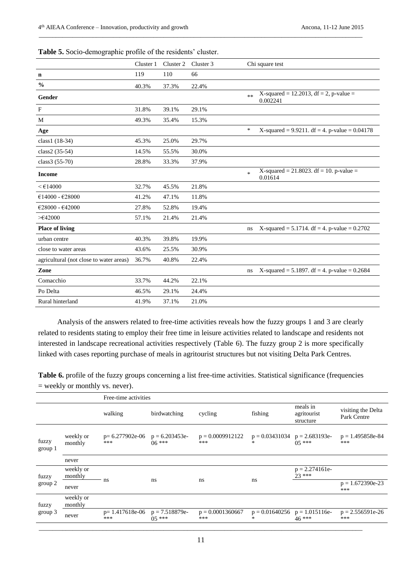|                                         | Cluster 1 | Cluster 2 | Cluster 3 |        | Chi square test                                                  |
|-----------------------------------------|-----------|-----------|-----------|--------|------------------------------------------------------------------|
| n                                       | 119       | 110       | 66        |        |                                                                  |
| $\frac{0}{0}$                           | 40.3%     | 37.3%     | 22.4%     |        |                                                                  |
| Gender                                  |           |           |           | $**$   | X-squared = $12.201\overline{3}$ , df = 2, p-value =<br>0.002241 |
| $\mathbf{F}$                            | 31.8%     | 39.1%     | 29.1%     |        |                                                                  |
| M                                       | 49.3%     | 35.4%     | 15.3%     |        |                                                                  |
| Age                                     |           |           |           | $\ast$ | X-squared = $9.9211$ . df = 4. p-value = 0.04178                 |
| class1 (18-34)                          | 45.3%     | 25.0%     | 29.7%     |        |                                                                  |
| class2 (35-54)                          | 14.5%     | 55.5%     | 30.0%     |        |                                                                  |
| class3 (55-70)                          | 28.8%     | 33.3%     | 37.9%     |        |                                                                  |
| <b>Income</b>                           |           |           |           | $\ast$ | X-squared = 21.8023. df = 10. p-value =<br>0.01614               |
| < 14000                                 | 32.7%     | 45.5%     | 21.8%     |        |                                                                  |
| €14000 - €28000                         | 41.2%     | 47.1%     | 11.8%     |        |                                                                  |
| €28000 - €42000                         | 27.8%     | 52.8%     | 19.4%     |        |                                                                  |
| $>\epsilon$ 42000                       | 57.1%     | 21.4%     | 21.4%     |        |                                                                  |
| <b>Place of living</b>                  |           |           |           | ns     | X-squared = $5.1714$ . df = 4. p-value = 0.2702                  |
| urban centre                            | 40.3%     | 39.8%     | 19.9%     |        |                                                                  |
| close to water areas                    | 43.6%     | 25.5%     | 30.9%     |        |                                                                  |
| agricultural (not close to water areas) | 36.7%     | 40.8%     | 22.4%     |        |                                                                  |
| Zone                                    |           |           |           | ns     | X-squared = 5.1897. df = 4. p-value = $0.2684$                   |
| Comacchio                               | 33.7%     | 44.2%     | 22.1%     |        |                                                                  |
| Po Delta                                | 46.5%     | 29.1%     | 24.4%     |        |                                                                  |
| Rural hinterland                        | 41.9%     | 37.1%     | 21.0%     |        |                                                                  |

Analysis of the answers related to free-time activities reveals how the fuzzy groups 1 and 3 are clearly related to residents stating to employ their free time in leisure activities related to landscape and residents not interested in landscape recreational activities respectively (Table 6). The fuzzy group 2 is more specifically linked with cases reporting purchase of meals in agritourist structures but not visiting Delta Park Centres.

**Table 6.** profile of the fuzzy groups concerning a list free-time activities. Statistical significance (frequencies = weekly or monthly vs. never).

|                  |                      | Free-time activities    |                             |                           |                                            |                                      |                                   |  |
|------------------|----------------------|-------------------------|-----------------------------|---------------------------|--------------------------------------------|--------------------------------------|-----------------------------------|--|
|                  |                      | walking                 | birdwatching                | cycling                   | fishing                                    | meals in<br>agritourist<br>structure | visiting the Delta<br>Park Centre |  |
| fuzzy<br>group 1 | weekly or<br>monthly | $p=6.277902e-06$<br>*** | $p = 6.203453e$<br>$06***$  | $p = 0.0009912122$<br>*** | $p = 0.03431034$ $p = 2.683193e$<br>$\ast$ | $05***$                              | $p = 1.495858e-84$<br>***         |  |
|                  | never                |                         |                             |                           |                                            |                                      |                                   |  |
| fuzzy<br>group 2 | weekly or<br>monthly |                         |                             |                           |                                            | $p = 2.274161e$<br>$23***$           |                                   |  |
|                  | never                | ns                      | ns                          | ns                        | ns                                         |                                      | $p = 1.672390e-23$<br>***         |  |
| fuzzy            | weekly or<br>monthly |                         |                             |                           |                                            |                                      |                                   |  |
| group 3          | never                | $p=1.417618e-06$<br>*** | $p = 7.518879e-$<br>$05***$ | $p = 0.0001360667$<br>*** | $p = 0.01640256$<br>∗                      | $p = 1.015116e$<br>$46***$           | $p = 2.556591e-26$<br>***         |  |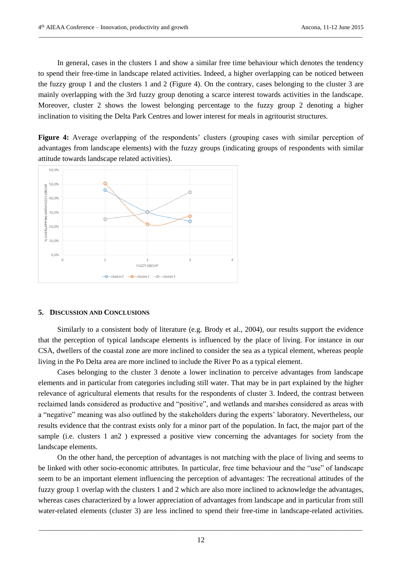In general, cases in the clusters 1 and show a similar free time behaviour which denotes the tendency to spend their free-time in landscape related activities. Indeed, a higher overlapping can be noticed between the fuzzy group 1 and the clusters 1 and 2 (Figure 4). On the contrary, cases belonging to the cluster 3 are mainly overlapping with the 3rd fuzzy group denoting a scarce interest towards activities in the landscape. Moreover, cluster 2 shows the lowest belonging percentage to the fuzzy group 2 denoting a higher inclination to visiting the Delta Park Centres and lower interest for meals in agritourist structures.

*\_\_\_\_\_\_\_\_\_\_\_\_\_\_\_\_\_\_\_\_\_\_\_\_\_\_\_\_\_\_\_\_\_\_\_\_\_\_\_\_\_\_\_\_\_\_\_\_\_\_\_\_\_\_\_\_\_\_\_\_\_\_\_\_\_\_\_\_\_\_\_\_\_\_\_\_\_\_\_\_\_\_\_\_\_\_\_\_\_\_\_\_\_\_\_\_*

**Figure 4:** Average overlapping of the respondents' clusters (grouping cases with similar perception of advantages from landscape elements) with the fuzzy groups (indicating groups of respondents with similar attitude towards landscape related activities).



# **5. DISCUSSION AND CONCLUSIONS**

Similarly to a consistent body of literature (e.g. Brody et al., 2004), our results support the evidence that the perception of typical landscape elements is influenced by the place of living. For instance in our CSA, dwellers of the coastal zone are more inclined to consider the sea as a typical element, whereas people living in the Po Delta area are more inclined to include the River Po as a typical element.

Cases belonging to the cluster 3 denote a lower inclination to perceive advantages from landscape elements and in particular from categories including still water. That may be in part explained by the higher relevance of agricultural elements that results for the respondents of cluster 3. Indeed, the contrast between reclaimed lands considered as productive and "positive", and wetlands and marshes considered as areas with a "negative" meaning was also outlined by the stakeholders during the experts' laboratory. Nevertheless, our results evidence that the contrast exists only for a minor part of the population. In fact, the major part of the sample (i.e. clusters 1 an2 ) expressed a positive view concerning the advantages for society from the landscape elements.

On the other hand, the perception of advantages is not matching with the place of living and seems to be linked with other socio-economic attributes. In particular, free time behaviour and the "use" of landscape seem to be an important element influencing the perception of advantages: The recreational attitudes of the fuzzy group 1 overlap with the clusters 1 and 2 which are also more inclined to acknowledge the advantages, whereas cases characterized by a lower appreciation of advantages from landscape and in particular from still water-related elements (cluster 3) are less inclined to spend their free-time in landscape-related activities.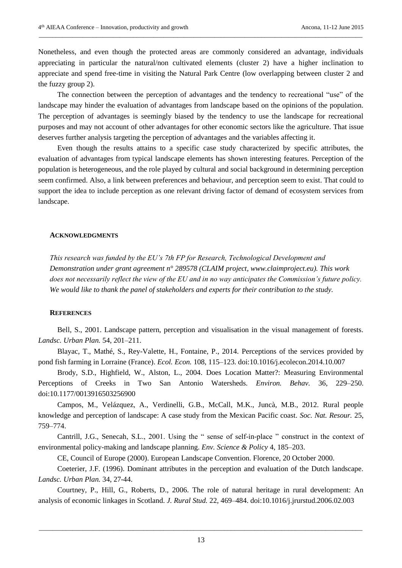Nonetheless, and even though the protected areas are commonly considered an advantage, individuals appreciating in particular the natural/non cultivated elements (cluster 2) have a higher inclination to appreciate and spend free-time in visiting the Natural Park Centre (low overlapping between cluster 2 and the fuzzy group 2).

*\_\_\_\_\_\_\_\_\_\_\_\_\_\_\_\_\_\_\_\_\_\_\_\_\_\_\_\_\_\_\_\_\_\_\_\_\_\_\_\_\_\_\_\_\_\_\_\_\_\_\_\_\_\_\_\_\_\_\_\_\_\_\_\_\_\_\_\_\_\_\_\_\_\_\_\_\_\_\_\_\_\_\_\_\_\_\_\_\_\_\_\_\_\_\_\_*

The connection between the perception of advantages and the tendency to recreational "use" of the landscape may hinder the evaluation of advantages from landscape based on the opinions of the population. The perception of advantages is seemingly biased by the tendency to use the landscape for recreational purposes and may not account of other advantages for other economic sectors like the agriculture. That issue deserves further analysis targeting the perception of advantages and the variables affecting it.

Even though the results attains to a specific case study characterized by specific attributes, the evaluation of advantages from typical landscape elements has shown interesting features. Perception of the population is heterogeneous, and the role played by cultural and social background in determining perception seem confirmed. Also, a link between preferences and behaviour, and perception seem to exist. That could to support the idea to include perception as one relevant driving factor of demand of ecosystem services from landscape.

# **ACKNOWLEDGMENTS**

*This research was funded by the EU's 7th FP for Research, Technological Development and Demonstration under grant agreement n° 289578 (CLAIM project, www.claimproject.eu). This work does not necessarily reflect the view of the EU and in no way anticipates the Commission's future policy. We would like to thank the panel of stakeholders and experts for their contribution to the study.*

## **REFERENCES**

Bell, S., 2001. Landscape pattern, perception and visualisation in the visual management of forests. *Landsc. Urban Plan.* 54, 201–211.

Blayac, T., Mathé, S., Rey-Valette, H., Fontaine, P., 2014. Perceptions of the services provided by pond fish farming in Lorraine (France). *Ecol. Econ.* 108, 115–123. doi:10.1016/j.ecolecon.2014.10.007

Brody, S.D., Highfield, W., Alston, L., 2004. Does Location Matter?: Measuring Environmental Perceptions of Creeks in Two San Antonio Watersheds. *Environ. Behav.* 36, 229–250. doi:10.1177/0013916503256900

Campos, M., Velázquez, A., Verdinelli, G.B., McCall, M.K., Juncà, M.B., 2012. Rural people knowledge and perception of landscape: A case study from the Mexican Pacific coast. *Soc. Nat. Resour.* 25, 759–774.

Cantrill, J.G., Senecah, S.L., 2001. Using the " sense of self-in-place " construct in the context of environmental policy-making and landscape planning. *Env. Science & Policy* 4, 185–203.

CE, Council of Europe (2000). European Landscape Convention. Florence, 20 October 2000.

Coeterier, J.F. (1996). Dominant attributes in the perception and evaluation of the Dutch landscape. *Landsc. Urban Plan.* 34, 27-44.

Courtney, P., Hill, G., Roberts, D., 2006. The role of natural heritage in rural development: An analysis of economic linkages in Scotland. *J. Rural Stud.* 22, 469–484. doi:10.1016/j.jrurstud.2006.02.003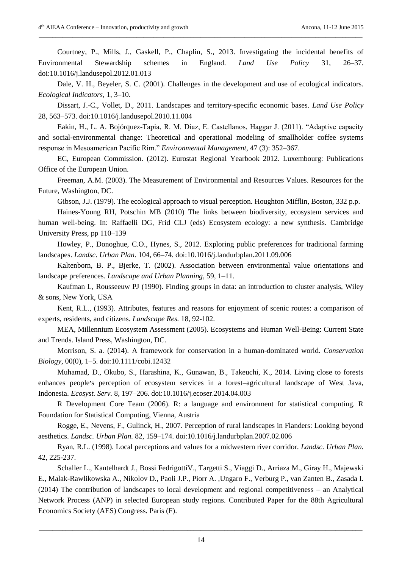Courtney, P., Mills, J., Gaskell, P., Chaplin, S., 2013. Investigating the incidental benefits of Environmental Stewardship schemes in England. *Land Use Policy* 31, 26–37. doi:10.1016/j.landusepol.2012.01.013

*\_\_\_\_\_\_\_\_\_\_\_\_\_\_\_\_\_\_\_\_\_\_\_\_\_\_\_\_\_\_\_\_\_\_\_\_\_\_\_\_\_\_\_\_\_\_\_\_\_\_\_\_\_\_\_\_\_\_\_\_\_\_\_\_\_\_\_\_\_\_\_\_\_\_\_\_\_\_\_\_\_\_\_\_\_\_\_\_\_\_\_\_\_\_\_\_*

Dale, V. H., Beyeler, S. C. (2001). Challenges in the development and use of ecological indicators. *Ecological Indicators,* 1, 3–10.

Dissart, J.-C., Vollet, D., 2011. Landscapes and territory-specific economic bases. *Land Use Policy* 28, 563–573. doi:10.1016/j.landusepol.2010.11.004

Eakin, H., L. A. Bojórquez-Tapia, R. M. Diaz, E. Castellanos, Haggar J. (2011). "Adaptive capacity and social-environmental change: Theoretical and operational modeling of smallholder coffee systems response in Mesoamerican Pacific Rim." *Environmental Management,* 47 (3): 352–367.

EC, European Commission. (2012). Eurostat Regional Yearbook 2012. Luxembourg: Publications Office of the European Union.

Freeman, A.M. (2003). The Measurement of Environmental and Resources Values. Resources for the Future, Washington, DC.

Gibson, J.J. (1979). The ecological approach to visual perception. Houghton Mifflin, Boston, 332 p.p.

Haines-Young RH, Potschin MB (2010) The links between biodiversity, ecosystem services and human well-being. In: Raffaelli DG, Frid CLJ (eds) Ecosystem ecology: a new synthesis. Cambridge University Press, pp 110–139

Howley, P., Donoghue, C.O., Hynes, S., 2012. Exploring public preferences for traditional farming landscapes. *Landsc. Urban Plan.* 104, 66–74. doi:10.1016/j.landurbplan.2011.09.006

Kaltenborn, B. P., Bjerke, T. (2002). Association between environmental value orientations and landscape preferences. *Landscape and Urban Planning*, 59, 1–11.

Kaufman L, Rousseeuw PJ (1990). Finding groups in data: an introduction to cluster analysis, Wiley & sons, New York, USA

Kent, R.L., (1993). Attributes, features and reasons for enjoyment of scenic routes: a comparison of experts, residents, and citizens. *Landscape Res.* 18, 92-102.

MEA, Millennium Ecosystem Assessment (2005). Ecosystems and Human Well-Being: Current State and Trends. Island Press, Washington, DC.

Morrison, S. a. (2014). A framework for conservation in a human-dominated world. *Conservation Biology,* 00(0), 1–5. doi:10.1111/cobi.12432

Muhamad, D., Okubo, S., Harashina, K., Gunawan, B., Takeuchi, K., 2014. Living close to forests enhances people׳s perception of ecosystem services in a forest–agricultural landscape of West Java, Indonesia. *Ecosyst. Serv.* 8, 197–206. doi:10.1016/j.ecoser.2014.04.003

R Development Core Team (2006). R: a language and environment for statistical computing. R Foundation for Statistical Computing, Vienna, Austria

Rogge, E., Nevens, F., Gulinck, H., 2007. Perception of rural landscapes in Flanders: Looking beyond aesthetics. *Landsc. Urban Plan.* 82, 159–174. doi:10.1016/j.landurbplan.2007.02.006

Ryan, R.L. (1998). Local perceptions and values for a midwestern river corridor. *Landsc. Urban Plan.* 42, 225-237.

Schaller L., Kantelhardt J., Bossi FedrigottiV., Targetti S., Viaggi D., Arriaza M., Giray H., Majewski E., Malak-Rawlikowska A., Nikolov D., Paoli J.P., Piorr A. ,Ungaro F., Verburg P., van Zanten B., Zasada I. (2014) The contribution of landscapes to local development and regional competitiveness – an Analytical Network Process (ANP) in selected European study regions. Contributed Paper for the 88th Agricultural Economics Society (AES) Congress. Paris (F).